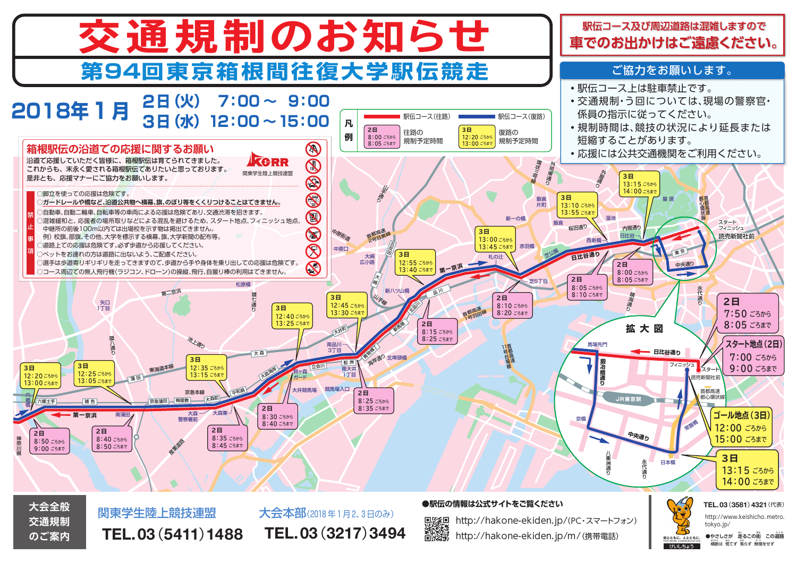

 **TEL.03**(**3217**)**3494**

**のご案内**

 **TEL.03**(**5411**)**1488**

学校<br>日本学校<br>日本学校

http://hakone-ekiden.jp/m/(携帯電話)

<sub>FOR MORE COMMUNICATION おおん おん おしません しゅうかい しゅうかい しゅうかい こうしん しゅうかい こうしゅうかい おんしゅう こうしゅう</sub> **●やさしさが 走るこの街 この道路**

けいしちょう **街とともに。人とともに。**